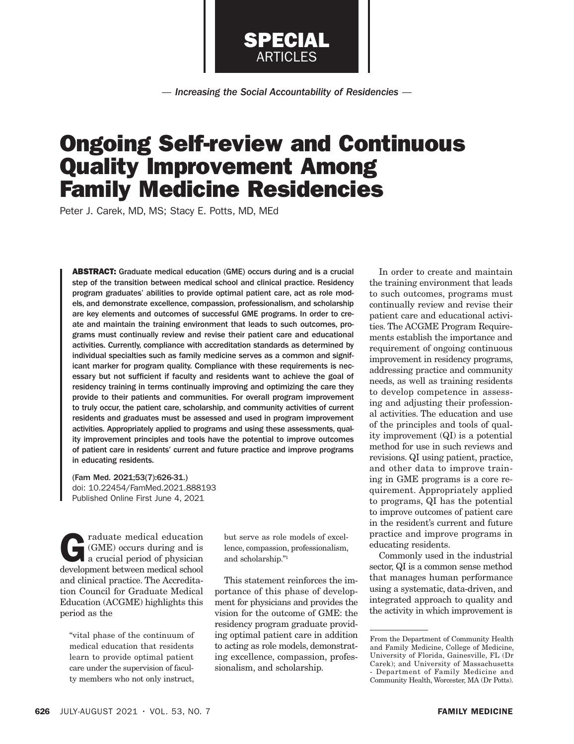*— Increasing the Social Accountability of Residencies —*

SPECIAL ARTICLES

# Ongoing Self-review and Continuous Quality Improvement Among Family Medicine Residencies

Peter J. Carek, MD, MS; Stacy E. Potts, MD, MEd

ABSTRACT: Graduate medical education (GME) occurs during and is a crucial step of the transition between medical school and clinical practice. Residency program graduates' abilities to provide optimal patient care, act as role models, and demonstrate excellence, compassion, professionalism, and scholarship are key elements and outcomes of successful GME programs. In order to create and maintain the training environment that leads to such outcomes, programs must continually review and revise their patient care and educational activities. Currently, compliance with accreditation standards as determined by individual specialties such as family medicine serves as a common and significant marker for program quality. Compliance with these requirements is necessary but not sufficient if faculty and residents want to achieve the goal of residency training in terms continually improving and optimizing the care they provide to their patients and communities. For overall program improvement to truly occur, the patient care, scholarship, and community activities of current residents and graduates must be assessed and used in program improvement activities. Appropriately applied to programs and using these assessments, quality improvement principles and tools have the potential to improve outcomes of patient care in residents' current and future practice and improve programs in educating residents.

(Fam Med. 2021;53(7):626-31.) doi: 10.22454/FamMed.2021.888193 Published Online First June 4, 2021

raduate medical education<br>
(GME) occurs during and is<br>
a crucial period of physician<br>
development between medical school (GME) occurs during and is development between medical school and clinical practice. The Accreditation Council for Graduate Medical Education (ACGME) highlights this period as the

"vital phase of the continuum of medical education that residents learn to provide optimal patient care under the supervision of faculty members who not only instruct,

but serve as role models of excellence, compassion, professionalism, and scholarship."1

This statement reinforces the importance of this phase of development for physicians and provides the vision for the outcome of GME: the residency program graduate providing optimal patient care in addition to acting as role models, demonstrating excellence, compassion, professionalism, and scholarship.

In order to create and maintain the training environment that leads to such outcomes, programs must continually review and revise their patient care and educational activities. The ACGME Program Requirements establish the importance and requirement of ongoing continuous improvement in residency programs, addressing practice and community needs, as well as training residents to develop competence in assessing and adjusting their professional activities. The education and use of the principles and tools of quality improvement (QI) is a potential method for use in such reviews and revisions. QI using patient, practice, and other data to improve training in GME programs is a core requirement. Appropriately applied to programs, QI has the potential to improve outcomes of patient care in the resident's current and future practice and improve programs in educating residents.

Commonly used in the industrial sector, QI is a common sense method that manages human performance using a systematic, data-driven, and integrated approach to quality and the activity in which improvement is

From the Department of Community Health and Family Medicine, College of Medicine, University of Florida, Gainesville, FL (Dr Carek); and University of Massachusetts - Department of Family Medicine and Community Health, Worcester, MA (Dr Potts).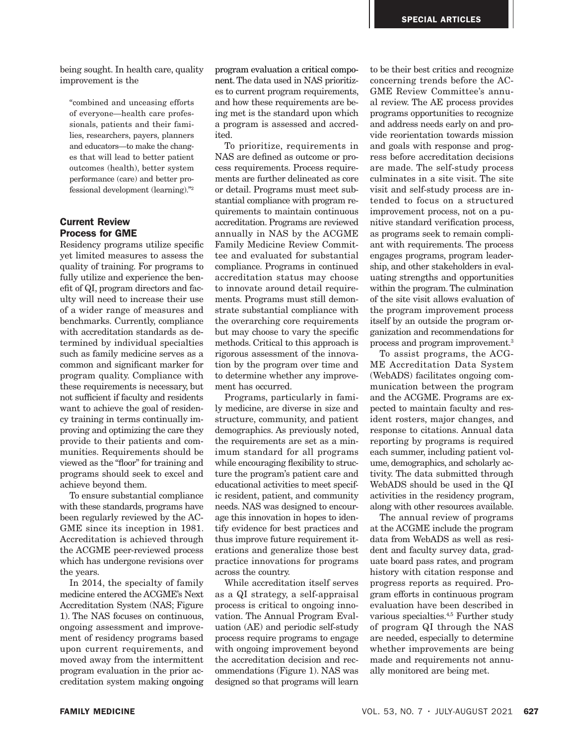being sought. In health care, quality improvement is the

"combined and unceasing efforts of everyone—health care professionals, patients and their families, researchers, payers, planners and educators—to make the changes that will lead to better patient outcomes (health), better system performance (care) and better professional development (learning)."2

## Current Review Process for GME

Residency programs utilize specific yet limited measures to assess the quality of training. For programs to fully utilize and experience the benefit of QI, program directors and faculty will need to increase their use of a wider range of measures and benchmarks. Currently, compliance with accreditation standards as determined by individual specialties such as family medicine serves as a common and significant marker for program quality. Compliance with these requirements is necessary, but not sufficient if faculty and residents want to achieve the goal of residency training in terms continually improving and optimizing the care they provide to their patients and communities. Requirements should be viewed as the "floor" for training and programs should seek to excel and achieve beyond them.

To ensure substantial compliance with these standards, programs have been regularly reviewed by the AC-GME since its inception in 1981. Accreditation is achieved through the ACGME peer-reviewed process which has undergone revisions over the years.

In 2014, the specialty of family medicine entered the ACGME's Next Accreditation System (NAS; Figure 1). The NAS focuses on continuous, ongoing assessment and improvement of residency programs based upon current requirements, and moved away from the intermittent program evaluation in the prior accreditation system making ongoing

program evaluation a critical component. The data used in NAS prioritizes to current program requirements, and how these requirements are being met is the standard upon which a program is assessed and accredited.

To prioritize, requirements in NAS are defined as outcome or process requirements. Process requirements are further delineated as core or detail. Programs must meet substantial compliance with program requirements to maintain continuous accreditation. Programs are reviewed annually in NAS by the ACGME Family Medicine Review Committee and evaluated for substantial compliance. Programs in continued accreditation status may choose to innovate around detail requirements. Programs must still demonstrate substantial compliance with the overarching core requirements but may choose to vary the specific methods. Critical to this approach is rigorous assessment of the innovation by the program over time and to determine whether any improvement has occurred.

Programs, particularly in family medicine, are diverse in size and structure, community, and patient demographics. As previously noted, the requirements are set as a minimum standard for all programs while encouraging flexibility to structure the program's patient care and educational activities to meet specific resident, patient, and community needs. NAS was designed to encourage this innovation in hopes to identify evidence for best practices and thus improve future requirement iterations and generalize those best practice innovations for programs across the country.

While accreditation itself serves as a QI strategy, a self-appraisal process is critical to ongoing innovation. The Annual Program Evaluation (AE) and periodic self-study process require programs to engage with ongoing improvement beyond the accreditation decision and recommendations (Figure 1). NAS was designed so that programs will learn

to be their best critics and recognize concerning trends before the AC-GME Review Committee's annual review. The AE process provides programs opportunities to recognize and address needs early on and provide reorientation towards mission and goals with response and progress before accreditation decisions are made. The self-study process culminates in a site visit. The site visit and self-study process are intended to focus on a structured improvement process, not on a punitive standard verification process, as programs seek to remain compliant with requirements. The process engages programs, program leadership, and other stakeholders in evaluating strengths and opportunities within the program. The culmination of the site visit allows evaluation of the program improvement process itself by an outside the program organization and recommendations for process and program improvement.3

To assist programs, the ACG-ME Accreditation Data System (WebADS) facilitates ongoing communication between the program and the ACGME. Programs are expected to maintain faculty and resident rosters, major changes, and response to citations. Annual data reporting by programs is required each summer, including patient volume, demographics, and scholarly activity. The data submitted through WebADS should be used in the QI activities in the residency program, along with other resources available.

The annual review of programs at the ACGME include the program data from WebADS as well as resident and faculty survey data, graduate board pass rates, and program history with citation response and progress reports as required. Program efforts in continuous program evaluation have been described in various specialties.4,5 Further study of program QI through the NAS are needed, especially to determine whether improvements are being made and requirements not annually monitored are being met.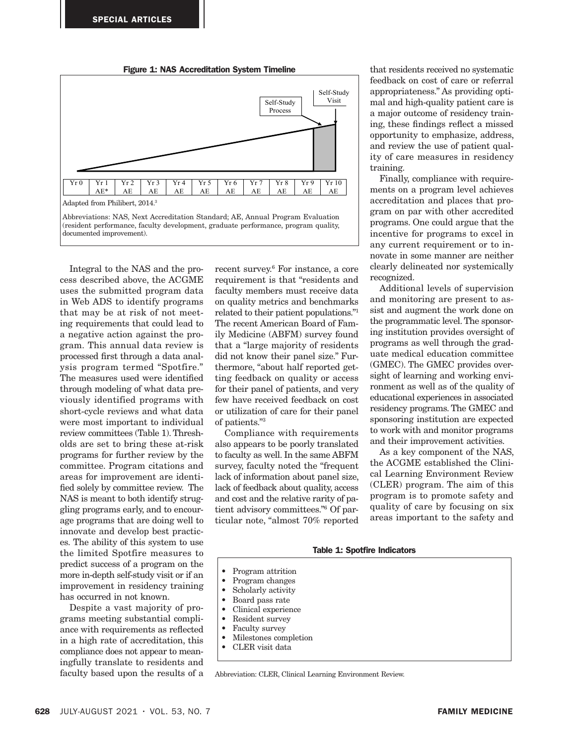

Integral to the NAS and the process described above, the ACGME uses the submitted program data in Web ADS to identify programs that may be at risk of not meeting requirements that could lead to a negative action against the program. This annual data review is processed first through a data analysis program termed "Spotfire." The measures used were identified through modeling of what data previously identified programs with short-cycle reviews and what data were most important to individual review committees (Table 1). Thresholds are set to bring these at-risk programs for further review by the committee. Program citations and areas for improvement are identified solely by committee review. The NAS is meant to both identify struggling programs early, and to encourage programs that are doing well to innovate and develop best practices. The ability of this system to use the limited Spotfire measures to predict success of a program on the more in-depth self-study visit or if an improvement in residency training has occurred in not known.

Despite a vast majority of programs meeting substantial compliance with requirements as reflected in a high rate of accreditation, this compliance does not appear to meaningfully translate to residents and faculty based upon the results of a

recent survey.6 For instance, a core requirement is that "residents and faculty members must receive data on quality metrics and benchmarks related to their patient populations."1 The recent American Board of Family Medicine (ABFM) survey found that a "large majority of residents did not know their panel size." Furthermore, "about half reported getting feedback on quality or access for their panel of patients, and very few have received feedback on cost or utilization of care for their panel of patients."3

Compliance with requirements also appears to be poorly translated to faculty as well. In the same ABFM survey, faculty noted the "frequent lack of information about panel size, lack of feedback about quality, access and cost and the relative rarity of patient advisory committees."6 Of particular note, "almost 70% reported

that residents received no systematic feedback on cost of care or referral appropriateness." As providing optimal and high-quality patient care is a major outcome of residency training, these findings reflect a missed opportunity to emphasize, address, and review the use of patient quality of care measures in residency training.

Finally, compliance with requirements on a program level achieves accreditation and places that program on par with other accredited programs. One could argue that the incentive for programs to excel in any current requirement or to innovate in some manner are neither clearly delineated nor systemically recognized.

Additional levels of supervision and monitoring are present to assist and augment the work done on the programmatic level. The sponsoring institution provides oversight of programs as well through the graduate medical education committee (GMEC). The GMEC provides oversight of learning and working environment as well as of the quality of educational experiences in associated residency programs. The GMEC and sponsoring institution are expected to work with and monitor programs and their improvement activities.

As a key component of the NAS, the ACGME established the Clinical Learning Environment Review (CLER) program. The aim of this program is to promote safety and quality of care by focusing on six areas important to the safety and

#### Table 1: Spotfire Indicators

- Program attrition
- Program changes
- Scholarly activity
- Board pass rate
- Clinical experience
- Resident survey
- Faculty survey
- Milestones completion
- CLER visit data

Abbreviation: CLER, Clinical Learning Environment Review.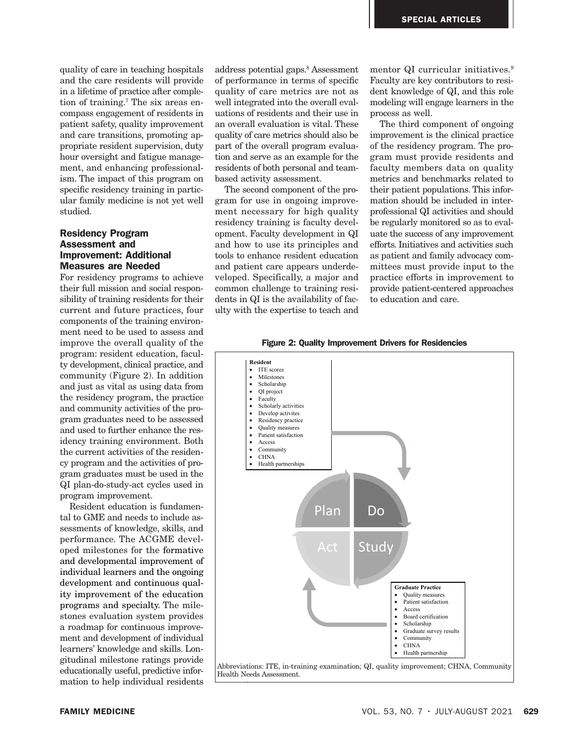quality of care in teaching hospitals and the care residents will provide in a lifetime of practice after completion of training.7 The six areas encompass engagement of residents in patient safety, quality improvement and care transitions, promoting appropriate resident supervision, duty hour oversight and fatigue management, and enhancing professionalism. The impact of this program on specific residency training in particular family medicine is not yet well studied.

## Residency Program Assessment and Improvement: Additional Measures are Needed

For residency programs to achieve their full mission and social responsibility of training residents for their current and future practices, four components of the training environment need to be used to assess and improve the overall quality of the program: resident education, faculty development, clinical practice, and community (Figure 2). In addition and just as vital as using data from the residency program, the practice and community activities of the program graduates need to be assessed and used to further enhance the residency training environment. Both the current activities of the residency program and the activities of program graduates must be used in the QI plan-do-study-act cycles used in program improvement.

Resident education is fundamental to GME and needs to include assessments of knowledge, skills, and performance. The ACGME developed milestones for the formative and developmental improvement of individual learners and the ongoing development and continuous quality improvement of the education programs and specialty. The milestones evaluation system provides a roadmap for continuous improvement and development of individual learners' knowledge and skills. Longitudinal milestone ratings provide educationally useful, predictive information to help individual residents

address potential gaps.8 Assessment of performance in terms of specific quality of care metrics are not as well integrated into the overall evaluations of residents and their use in an overall evaluation is vital. These quality of care metrics should also be part of the overall program evaluation and serve as an example for the residents of both personal and teambased activity assessment.

The second component of the program for use in ongoing improvement necessary for high quality residency training is faculty development. Faculty development in QI and how to use its principles and tools to enhance resident education and patient care appears underdeveloped. Specifically, a major and common challenge to training residents in QI is the availability of faculty with the expertise to teach and

mentor QI curricular initiatives.<sup>9</sup> Faculty are key contributors to resident knowledge of QI, and this role modeling will engage learners in the process as well.

The third component of ongoing improvement is the clinical practice of the residency program. The program must provide residents and faculty members data on quality metrics and benchmarks related to their patient populations. This information should be included in interprofessional QI activities and should be regularly monitored so as to evaluate the success of any improvement efforts. Initiatives and activities such as patient and family advocacy committees must provide input to the practice efforts in improvement to provide patient-centered approaches to education and care.

Figure 2: Quality Improvement Drivers for Residencies Figure 2: Quality Improvement Drivers for Residencies

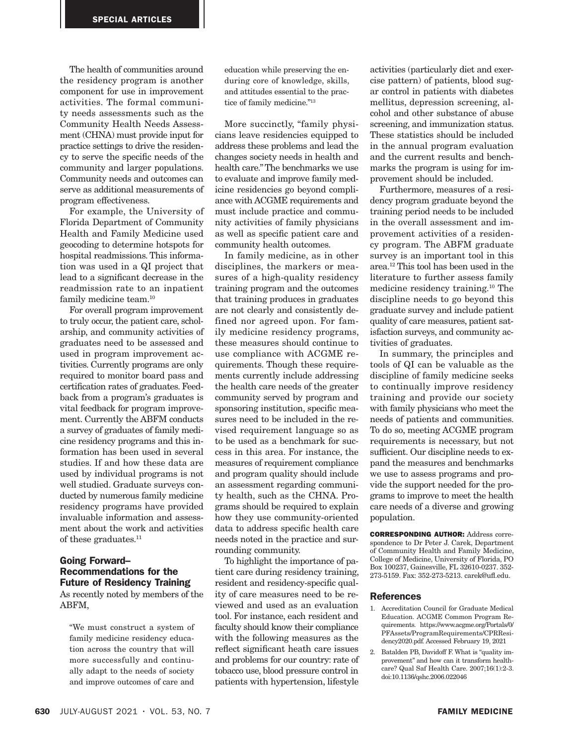The health of communities around the residency program is another component for use in improvement activities. The formal community needs assessments such as the Community Health Needs Assessment (CHNA) must provide input for practice settings to drive the residency to serve the specific needs of the community and larger populations. Community needs and outcomes can serve as additional measurements of program effectiveness.

For example, the University of Florida Department of Community Health and Family Medicine used geocoding to determine hotspots for hospital readmissions. This information was used in a QI project that lead to a significant decrease in the readmission rate to an inpatient family medicine team.<sup>10</sup>

For overall program improvement to truly occur, the patient care, scholarship, and community activities of graduates need to be assessed and used in program improvement activities. Currently programs are only required to monitor board pass and certification rates of graduates. Feedback from a program's graduates is vital feedback for program improvement. Currently the ABFM conducts a survey of graduates of family medicine residency programs and this information has been used in several studies. If and how these data are used by individual programs is not well studied. Graduate surveys conducted by numerous family medicine residency programs have provided invaluable information and assessment about the work and activities of these graduates.<sup>11</sup>

# Going Forward– Recommendations for the Future of Residency Training

As recently noted by members of the ABFM,

"We must construct a system of family medicine residency education across the country that will more successfully and continually adapt to the needs of society and improve outcomes of care and

education while preserving the enduring core of knowledge, skills, and attitudes essential to the practice of family medicine."13

More succinctly, "family physicians leave residencies equipped to address these problems and lead the changes society needs in health and health care." The benchmarks we use to evaluate and improve family medicine residencies go beyond compliance with ACGME requirements and must include practice and community activities of family physicians as well as specific patient care and community health outcomes.

In family medicine, as in other disciplines, the markers or measures of a high-quality residency training program and the outcomes that training produces in graduates are not clearly and consistently defined nor agreed upon. For family medicine residency programs, these measures should continue to use compliance with ACGME requirements. Though these requirements currently include addressing the health care needs of the greater community served by program and sponsoring institution, specific measures need to be included in the revised requirement language so as to be used as a benchmark for success in this area. For instance, the measures of requirement compliance and program quality should include an assessment regarding community health, such as the CHNA. Programs should be required to explain how they use community-oriented data to address specific health care needs noted in the practice and surrounding community.

To highlight the importance of patient care during residency training, resident and residency-specific quality of care measures need to be reviewed and used as an evaluation tool. For instance, each resident and faculty should know their compliance with the following measures as the reflect significant heath care issues and problems for our country: rate of tobacco use, blood pressure control in patients with hypertension, lifestyle

activities (particularly diet and exercise pattern) of patients, blood sugar control in patients with diabetes mellitus, depression screening, alcohol and other substance of abuse screening, and immunization status. These statistics should be included in the annual program evaluation and the current results and benchmarks the program is using for improvement should be included.

Furthermore, measures of a residency program graduate beyond the training period needs to be included in the overall assessment and improvement activities of a residency program. The ABFM graduate survey is an important tool in this area.12 This tool has been used in the literature to further assess family medicine residency training.10 The discipline needs to go beyond this graduate survey and include patient quality of care measures, patient satisfaction surveys, and community activities of graduates.

In summary, the principles and tools of QI can be valuable as the discipline of family medicine seeks to continually improve residency training and provide our society with family physicians who meet the needs of patients and communities. To do so, meeting ACGME program requirements is necessary, but not sufficient. Our discipline needs to expand the measures and benchmarks we use to assess programs and provide the support needed for the programs to improve to meet the health care needs of a diverse and growing population.

CORRESPONDING AUTHOR: Address correspondence to Dr Peter J. Carek, Department of Community Health and Family Medicine, College of Medicine, University of Florida, PO Box 100237, Gainesville, FL 32610-0237. 352- 273-5159. Fax: 352-273-5213. carek@ufl.edu.

#### References

- 1. Accreditation Council for Graduate Medical Education. ACGME Common Program Requirements. https://www.acgme.org/Portals/0/ PFAssets/ProgramRequirements/CPRResidency2020.pdf. Accessed February 19, 2021
- 2. Batalden PB, Davidoff F. What is "quality improvement" and how can it transform healthcare? Qual Saf Health Care. 2007;16(1):2-3. doi:10.1136/qshc.2006.022046